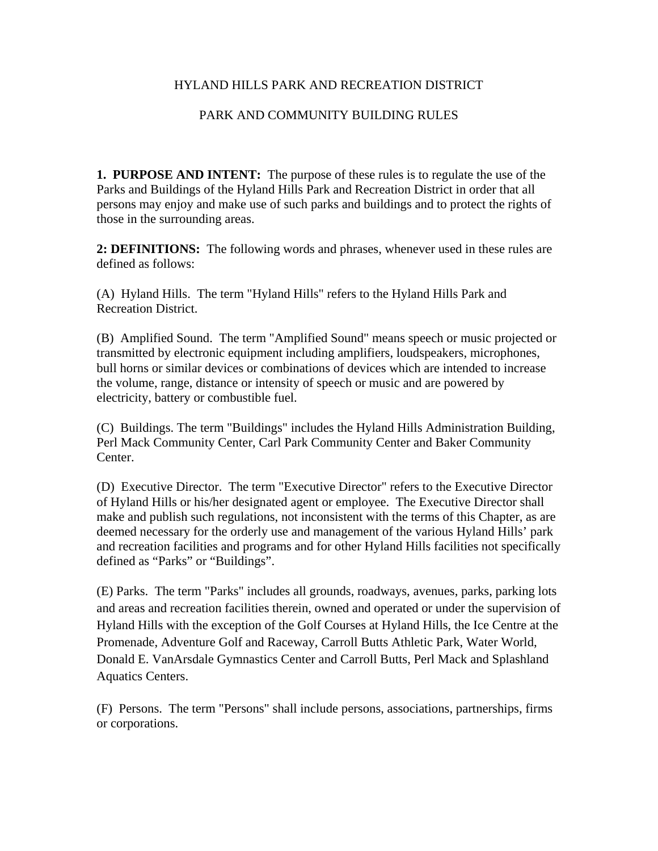## HYLAND HILLS PARK AND RECREATION DISTRICT

## PARK AND COMMUNITY BUILDING RULES

**1. PURPOSE AND INTENT:** The purpose of these rules is to regulate the use of the Parks and Buildings of the Hyland Hills Park and Recreation District in order that all persons may enjoy and make use of such parks and buildings and to protect the rights of those in the surrounding areas.

**2: DEFINITIONS:** The following words and phrases, whenever used in these rules are defined as follows:

(A) Hyland Hills. The term "Hyland Hills" refers to the Hyland Hills Park and Recreation District.

(B) Amplified Sound. The term "Amplified Sound" means speech or music projected or transmitted by electronic equipment including amplifiers, loudspeakers, microphones, bull horns or similar devices or combinations of devices which are intended to increase the volume, range, distance or intensity of speech or music and are powered by electricity, battery or combustible fuel.

(C) Buildings. The term "Buildings" includes the Hyland Hills Administration Building, Perl Mack Community Center, Carl Park Community Center and Baker Community Center.

(D) Executive Director. The term "Executive Director" refers to the Executive Director of Hyland Hills or his/her designated agent or employee. The Executive Director shall make and publish such regulations, not inconsistent with the terms of this Chapter, as are deemed necessary for the orderly use and management of the various Hyland Hills' park and recreation facilities and programs and for other Hyland Hills facilities not specifically defined as "Parks" or "Buildings".

(E) Parks. The term "Parks" includes all grounds, roadways, avenues, parks, parking lots and areas and recreation facilities therein, owned and operated or under the supervision of Hyland Hills with the exception of the Golf Courses at Hyland Hills, the Ice Centre at the Promenade, Adventure Golf and Raceway, Carroll Butts Athletic Park, Water World, Donald E. VanArsdale Gymnastics Center and Carroll Butts, Perl Mack and Splashland Aquatics Centers.

(F) Persons. The term "Persons" shall include persons, associations, partnerships, firms or corporations.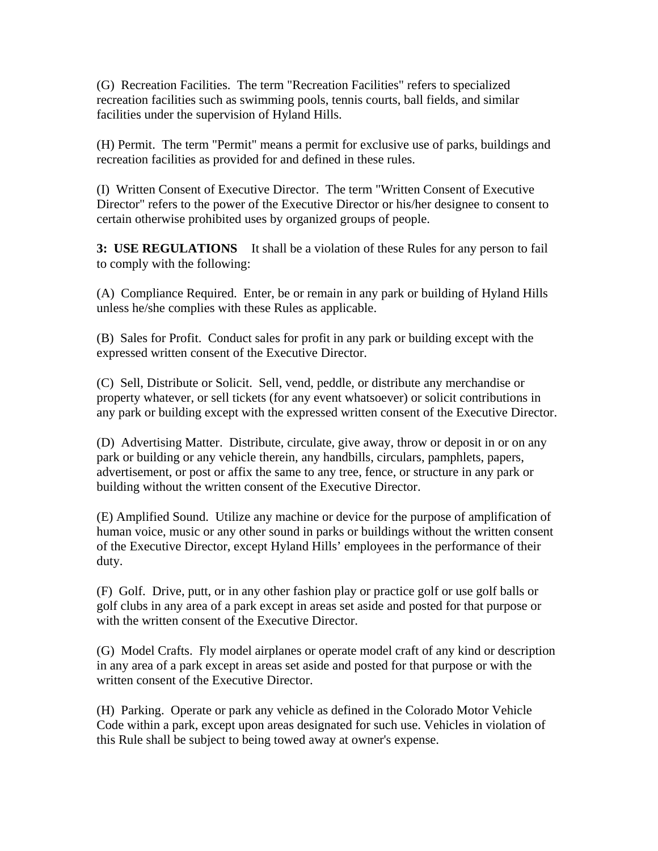(G) Recreation Facilities. The term "Recreation Facilities" refers to specialized recreation facilities such as swimming pools, tennis courts, ball fields, and similar facilities under the supervision of Hyland Hills.

(H) Permit. The term "Permit" means a permit for exclusive use of parks, buildings and recreation facilities as provided for and defined in these rules.

(I) Written Consent of Executive Director. The term "Written Consent of Executive Director" refers to the power of the Executive Director or his/her designee to consent to certain otherwise prohibited uses by organized groups of people.

**3: USE REGULATIONS** It shall be a violation of these Rules for any person to fail to comply with the following:

(A) Compliance Required. Enter, be or remain in any park or building of Hyland Hills unless he/she complies with these Rules as applicable.

(B) Sales for Profit. Conduct sales for profit in any park or building except with the expressed written consent of the Executive Director.

(C) Sell, Distribute or Solicit. Sell, vend, peddle, or distribute any merchandise or property whatever, or sell tickets (for any event whatsoever) or solicit contributions in any park or building except with the expressed written consent of the Executive Director.

(D) Advertising Matter. Distribute, circulate, give away, throw or deposit in or on any park or building or any vehicle therein, any handbills, circulars, pamphlets, papers, advertisement, or post or affix the same to any tree, fence, or structure in any park or building without the written consent of the Executive Director.

(E) Amplified Sound. Utilize any machine or device for the purpose of amplification of human voice, music or any other sound in parks or buildings without the written consent of the Executive Director, except Hyland Hills' employees in the performance of their duty.

(F) Golf. Drive, putt, or in any other fashion play or practice golf or use golf balls or golf clubs in any area of a park except in areas set aside and posted for that purpose or with the written consent of the Executive Director.

(G) Model Crafts. Fly model airplanes or operate model craft of any kind or description in any area of a park except in areas set aside and posted for that purpose or with the written consent of the Executive Director.

(H) Parking. Operate or park any vehicle as defined in the Colorado Motor Vehicle Code within a park, except upon areas designated for such use. Vehicles in violation of this Rule shall be subject to being towed away at owner's expense.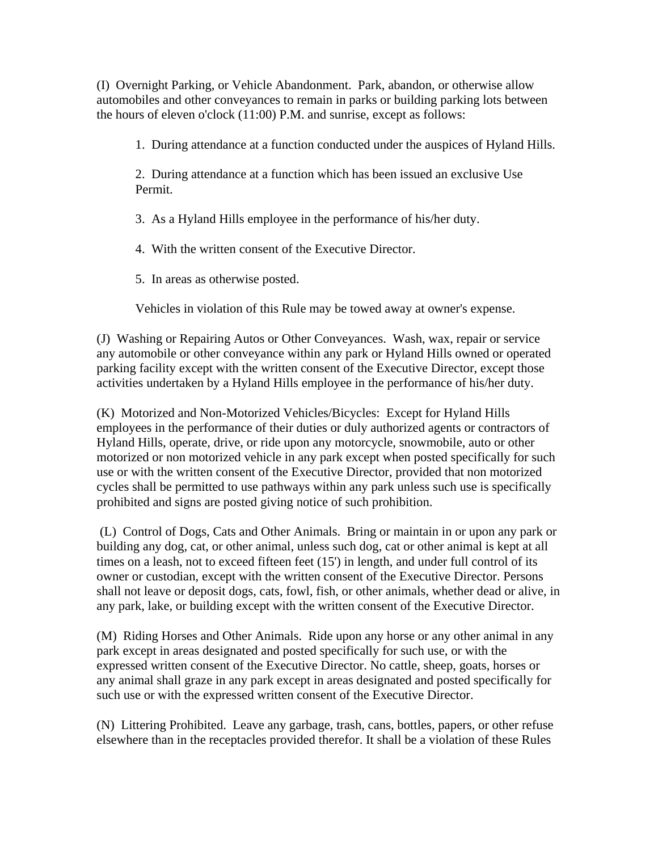(I) Overnight Parking, or Vehicle Abandonment. Park, abandon, or otherwise allow automobiles and other conveyances to remain in parks or building parking lots between the hours of eleven o'clock (11:00) P.M. and sunrise, except as follows:

1. During attendance at a function conducted under the auspices of Hyland Hills.

2. During attendance at a function which has been issued an exclusive Use Permit.

3. As a Hyland Hills employee in the performance of his/her duty.

4. With the written consent of the Executive Director.

5. In areas as otherwise posted.

Vehicles in violation of this Rule may be towed away at owner's expense.

(J) Washing or Repairing Autos or Other Conveyances. Wash, wax, repair or service any automobile or other conveyance within any park or Hyland Hills owned or operated parking facility except with the written consent of the Executive Director, except those activities undertaken by a Hyland Hills employee in the performance of his/her duty.

(K) Motorized and Non-Motorized Vehicles/Bicycles: Except for Hyland Hills employees in the performance of their duties or duly authorized agents or contractors of Hyland Hills, operate, drive, or ride upon any motorcycle, snowmobile, auto or other motorized or non motorized vehicle in any park except when posted specifically for such use or with the written consent of the Executive Director, provided that non motorized cycles shall be permitted to use pathways within any park unless such use is specifically prohibited and signs are posted giving notice of such prohibition.

 (L) Control of Dogs, Cats and Other Animals. Bring or maintain in or upon any park or building any dog, cat, or other animal, unless such dog, cat or other animal is kept at all times on a leash, not to exceed fifteen feet (15') in length, and under full control of its owner or custodian, except with the written consent of the Executive Director. Persons shall not leave or deposit dogs, cats, fowl, fish, or other animals, whether dead or alive, in any park, lake, or building except with the written consent of the Executive Director.

(M) Riding Horses and Other Animals. Ride upon any horse or any other animal in any park except in areas designated and posted specifically for such use, or with the expressed written consent of the Executive Director. No cattle, sheep, goats, horses or any animal shall graze in any park except in areas designated and posted specifically for such use or with the expressed written consent of the Executive Director.

(N) Littering Prohibited. Leave any garbage, trash, cans, bottles, papers, or other refuse elsewhere than in the receptacles provided therefor. It shall be a violation of these Rules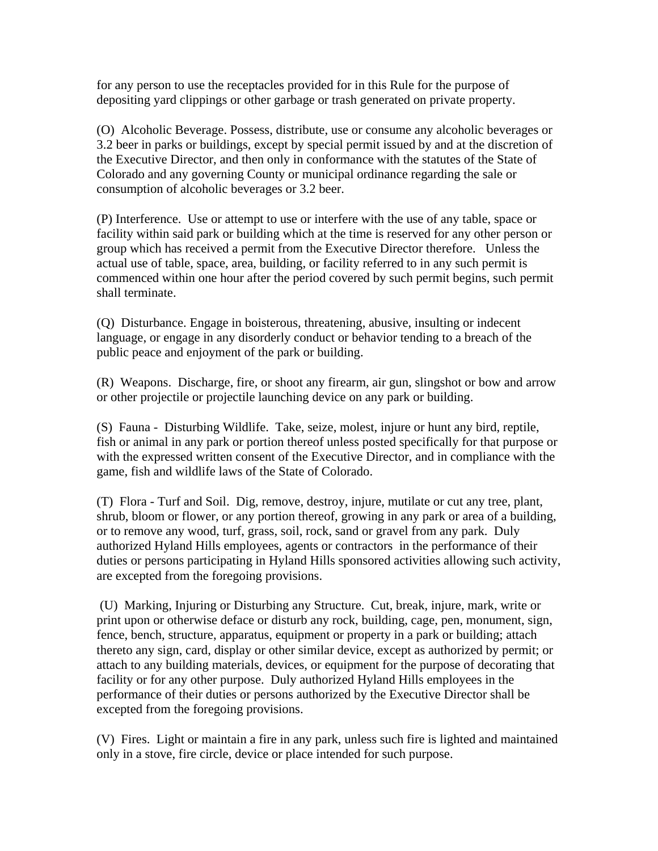for any person to use the receptacles provided for in this Rule for the purpose of depositing yard clippings or other garbage or trash generated on private property.

(O) Alcoholic Beverage. Possess, distribute, use or consume any alcoholic beverages or 3.2 beer in parks or buildings, except by special permit issued by and at the discretion of the Executive Director, and then only in conformance with the statutes of the State of Colorado and any governing County or municipal ordinance regarding the sale or consumption of alcoholic beverages or 3.2 beer.

(P) Interference. Use or attempt to use or interfere with the use of any table, space or facility within said park or building which at the time is reserved for any other person or group which has received a permit from the Executive Director therefore. Unless the actual use of table, space, area, building, or facility referred to in any such permit is commenced within one hour after the period covered by such permit begins, such permit shall terminate.

(Q) Disturbance. Engage in boisterous, threatening, abusive, insulting or indecent language, or engage in any disorderly conduct or behavior tending to a breach of the public peace and enjoyment of the park or building.

(R) Weapons. Discharge, fire, or shoot any firearm, air gun, slingshot or bow and arrow or other projectile or projectile launching device on any park or building.

(S) Fauna - Disturbing Wildlife. Take, seize, molest, injure or hunt any bird, reptile, fish or animal in any park or portion thereof unless posted specifically for that purpose or with the expressed written consent of the Executive Director, and in compliance with the game, fish and wildlife laws of the State of Colorado.

(T) Flora - Turf and Soil. Dig, remove, destroy, injure, mutilate or cut any tree, plant, shrub, bloom or flower, or any portion thereof, growing in any park or area of a building, or to remove any wood, turf, grass, soil, rock, sand or gravel from any park. Duly authorized Hyland Hills employees, agents or contractors in the performance of their duties or persons participating in Hyland Hills sponsored activities allowing such activity, are excepted from the foregoing provisions.

 (U) Marking, Injuring or Disturbing any Structure. Cut, break, injure, mark, write or print upon or otherwise deface or disturb any rock, building, cage, pen, monument, sign, fence, bench, structure, apparatus, equipment or property in a park or building; attach thereto any sign, card, display or other similar device, except as authorized by permit; or attach to any building materials, devices, or equipment for the purpose of decorating that facility or for any other purpose. Duly authorized Hyland Hills employees in the performance of their duties or persons authorized by the Executive Director shall be excepted from the foregoing provisions.

(V) Fires. Light or maintain a fire in any park, unless such fire is lighted and maintained only in a stove, fire circle, device or place intended for such purpose.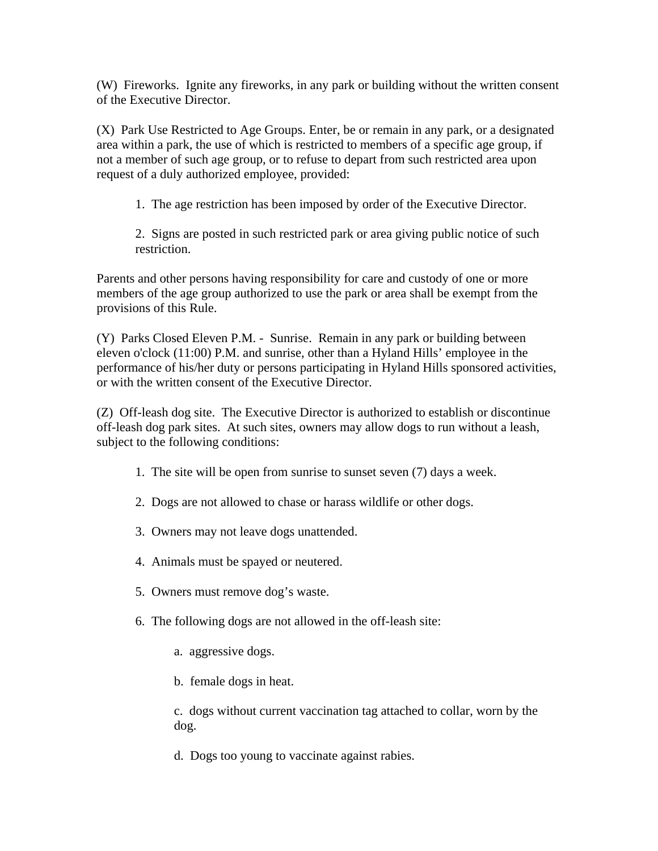(W) Fireworks. Ignite any fireworks, in any park or building without the written consent of the Executive Director.

(X) Park Use Restricted to Age Groups. Enter, be or remain in any park, or a designated area within a park, the use of which is restricted to members of a specific age group, if not a member of such age group, or to refuse to depart from such restricted area upon request of a duly authorized employee, provided:

1. The age restriction has been imposed by order of the Executive Director.

2. Signs are posted in such restricted park or area giving public notice of such restriction.

Parents and other persons having responsibility for care and custody of one or more members of the age group authorized to use the park or area shall be exempt from the provisions of this Rule.

(Y) Parks Closed Eleven P.M. - Sunrise. Remain in any park or building between eleven o'clock (11:00) P.M. and sunrise, other than a Hyland Hills' employee in the performance of his/her duty or persons participating in Hyland Hills sponsored activities, or with the written consent of the Executive Director.

(Z) Off-leash dog site. The Executive Director is authorized to establish or discontinue off-leash dog park sites. At such sites, owners may allow dogs to run without a leash, subject to the following conditions:

- 1. The site will be open from sunrise to sunset seven (7) days a week.
- 2. Dogs are not allowed to chase or harass wildlife or other dogs.
- 3. Owners may not leave dogs unattended.
- 4. Animals must be spayed or neutered.
- 5. Owners must remove dog's waste.
- 6. The following dogs are not allowed in the off-leash site:
	- a. aggressive dogs.
	- b. female dogs in heat.

c. dogs without current vaccination tag attached to collar, worn by the dog.

d. Dogs too young to vaccinate against rabies.